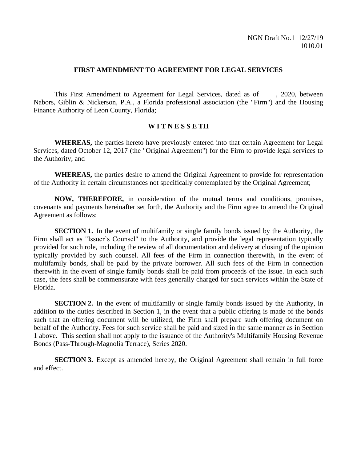## **FIRST AMENDMENT TO AGREEMENT FOR LEGAL SERVICES**

This First Amendment to Agreement for Legal Services, dated as of \_\_\_\_, 2020, between Nabors, Giblin & Nickerson, P.A., a Florida professional association (the "Firm") and the Housing Finance Authority of Leon County, Florida;

## **W I T N E S S E TH**

**WHEREAS,** the parties hereto have previously entered into that certain Agreement for Legal Services, dated October 12, 2017 (the "Original Agreement") for the Firm to provide legal services to the Authority; and

**WHEREAS,** the parties desire to amend the Original Agreement to provide for representation of the Authority in certain circumstances not specifically contemplated by the Original Agreement;

**NOW, THEREFORE,** in consideration of the mutual terms and conditions, promises, covenants and payments hereinafter set forth, the Authority and the Firm agree to amend the Original Agreement as follows:

**SECTION 1.** In the event of multifamily or single family bonds issued by the Authority, the Firm shall act as "Issuer's Counsel" to the Authority, and provide the legal representation typically provided for such role, including the review of all documentation and delivery at closing of the opinion typically provided by such counsel. All fees of the Firm in connection therewith, in the event of multifamily bonds, shall be paid by the private borrower. All such fees of the Firm in connection therewith in the event of single family bonds shall be paid from proceeds of the issue. In each such case, the fees shall be commensurate with fees generally charged for such services within the State of Florida.

**SECTION 2.** In the event of multifamily or single family bonds issued by the Authority, in addition to the duties described in Section 1, in the event that a public offering is made of the bonds such that an offering document will be utilized, the Firm shall prepare such offering document on behalf of the Authority. Fees for such service shall be paid and sized in the same manner as in Section 1 above. This section shall not apply to the issuance of the Authority's Multifamily Housing Revenue Bonds (Pass-Through-Magnolia Terrace), Series 2020.

**SECTION 3.** Except as amended hereby, the Original Agreement shall remain in full force and effect.